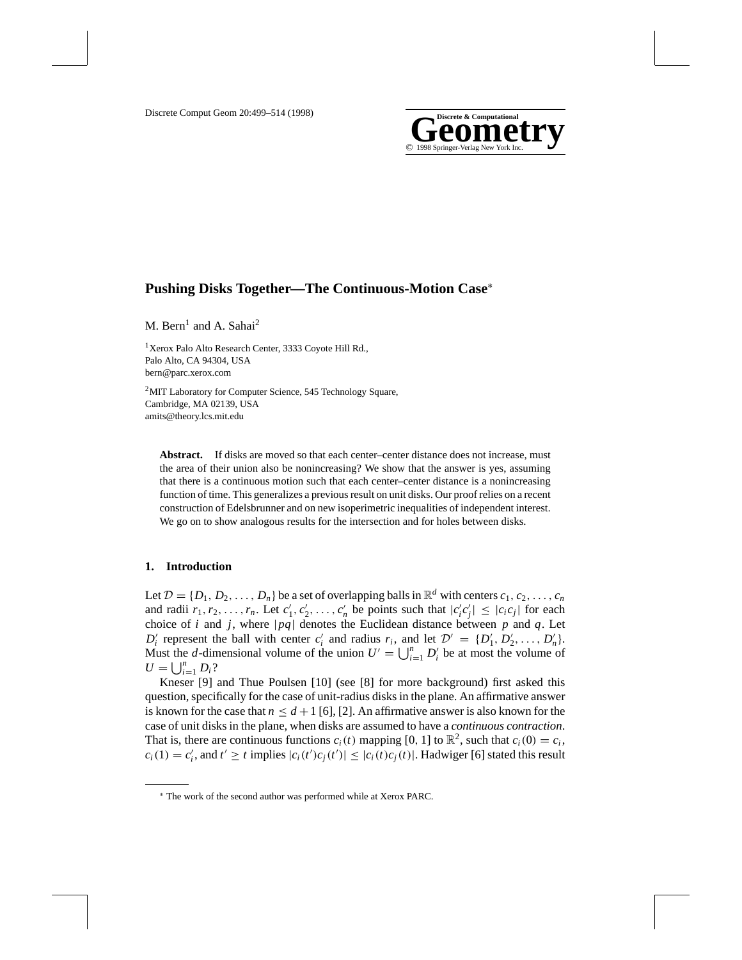

# **Pushing Disks Together—The Continuous-Motion Case**<sup>∗</sup>

M. Bern<sup>1</sup> and A. Sahai<sup>2</sup>

<sup>1</sup>Xerox Palo Alto Research Center, 3333 Coyote Hill Rd., Palo Alto, CA 94304, USA bern@parc.xerox.com

2MIT Laboratory for Computer Science, 545 Technology Square, Cambridge, MA 02139, USA amits@theory.lcs.mit.edu

**Abstract.** If disks are moved so that each center–center distance does not increase, must the area of their union also be nonincreasing? We show that the answer is yes, assuming that there is a continuous motion such that each center–center distance is a nonincreasing function of time. This generalizes a previous result on unit disks. Our proof relies on a recent construction of Edelsbrunner and on new isoperimetric inequalities of independent interest. We go on to show analogous results for the intersection and for holes between disks.

# **1. Introduction**

Let  $\mathcal{D} = \{D_1, D_2, \ldots, D_n\}$  be a set of overlapping balls in  $\mathbb{R}^d$  with centers  $c_1, c_2, \ldots, c_n$ and radii  $r_1, r_2, \ldots, r_n$ . Let  $c'_1, c'_2, \ldots, c'_n$  be points such that  $|c'_i c'_j| \leq |c_i c_j|$  for each choice of *i* and *j*, where  $|pq|$  denotes the Euclidean distance between *p* and *q*. Let  $D'_i$  represent the ball with center  $c'_i$  and radius  $r_i$ , and let  $D' = \{D'_1, D'_2, \ldots, D'_n\}.$ Must the *d*-dimensional volume of the union  $U' = \bigcup_{i=1}^{n} D'_i$  be at most the volume of  $U = \bigcup_{i=1}^{n} D_i$ ?

Kneser [9] and Thue Poulsen [10] (see [8] for more background) first asked this question, specifically for the case of unit-radius disks in the plane. An affirmative answer is known for the case that  $n \leq d+1$  [6], [2]. An affirmative answer is also known for the case of unit disks in the plane, when disks are assumed to have a *continuous contraction*. That is, there are continuous functions  $c_i(t)$  mapping [0, 1] to  $\mathbb{R}^2$ , such that  $c_i(0) = c_i$ ,  $c_i(1) = c'_i$ , and  $t' \ge t$  implies  $|c_i(t')c_j(t')| \le |c_i(t)c_j(t)|$ . Hadwiger [6] stated this result

<sup>∗</sup> The work of the second author was performed while at Xerox PARC.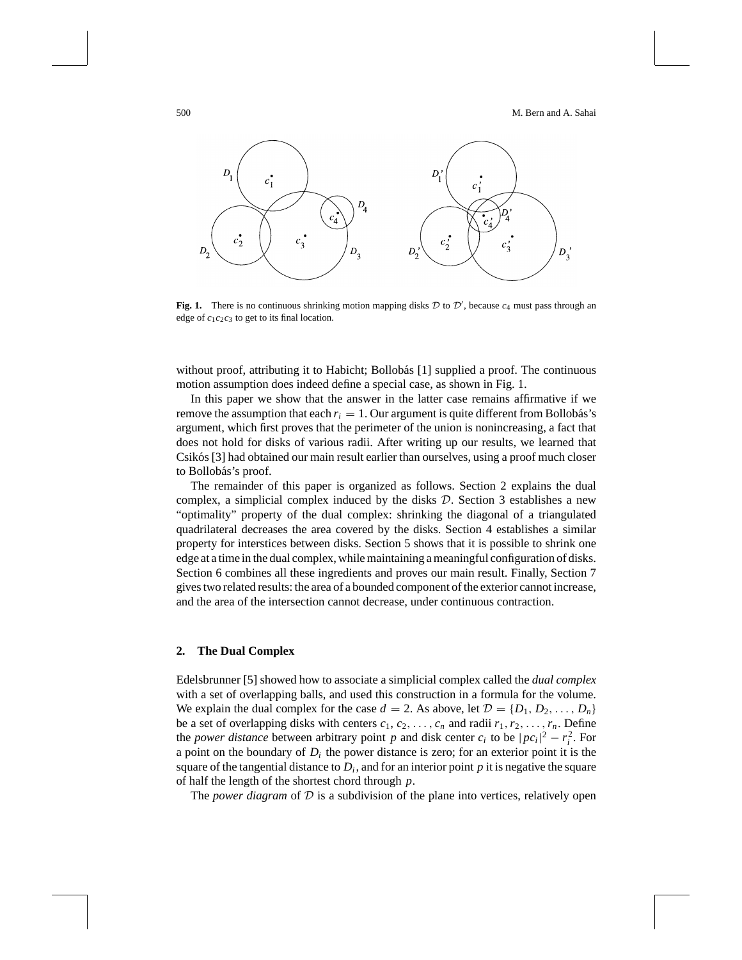

**Fig. 1.** There is no continuous shrinking motion mapping disks  $D$  to  $D'$ , because  $c_4$  must pass through an edge of *c*1*c*2*c*<sup>3</sup> to get to its final location.

without proof, attributing it to Habicht; Bollobás [1] supplied a proof. The continuous motion assumption does indeed define a special case, as shown in Fig. 1.

In this paper we show that the answer in the latter case remains affirmative if we remove the assumption that each  $r_i = 1$ . Our argument is quite different from Bollobás's argument, which first proves that the perimeter of the union is nonincreasing, a fact that does not hold for disks of various radii. After writing up our results, we learned that Csikós [3] had obtained our main result earlier than ourselves, using a proof much closer to Bollobás's proof.

The remainder of this paper is organized as follows. Section 2 explains the dual complex, a simplicial complex induced by the disks  $D$ . Section 3 establishes a new "optimality" property of the dual complex: shrinking the diagonal of a triangulated quadrilateral decreases the area covered by the disks. Section 4 establishes a similar property for interstices between disks. Section 5 shows that it is possible to shrink one edge at a time in the dual complex, while maintaining a meaningful configuration of disks. Section 6 combines all these ingredients and proves our main result. Finally, Section 7 gives two related results: the area of a bounded component of the exterior cannot increase, and the area of the intersection cannot decrease, under continuous contraction.

#### **2. The Dual Complex**

Edelsbrunner [5] showed how to associate a simplicial complex called the *dual complex* with a set of overlapping balls, and used this construction in a formula for the volume. We explain the dual complex for the case  $d = 2$ . As above, let  $\mathcal{D} = \{D_1, D_2, \ldots, D_n\}$ be a set of overlapping disks with centers  $c_1, c_2, \ldots, c_n$  and radii  $r_1, r_2, \ldots, r_n$ . Define the *power distance* between arbitrary point *p* and disk center  $c_i$  to be  $|pc_i|^2 - r_i^2$ . For a point on the boundary of  $D_i$  the power distance is zero; for an exterior point it is the square of the tangential distance to  $D_i$ , and for an interior point  $p$  it is negative the square of half the length of the shortest chord through *p*.

The *power diagram* of D is a subdivision of the plane into vertices, relatively open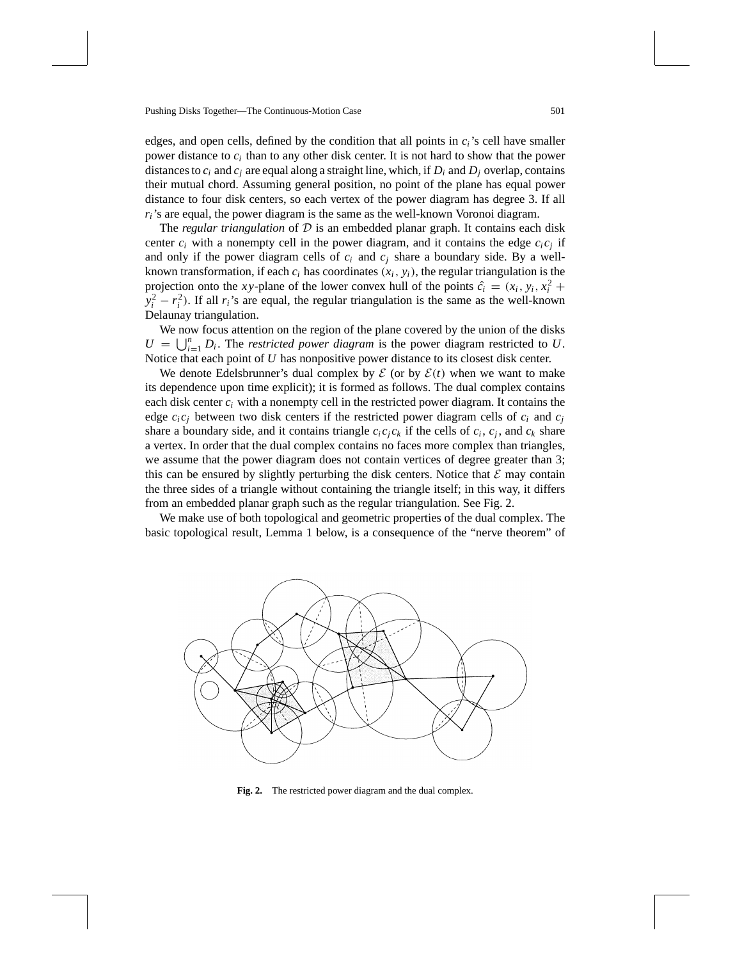edges, and open cells, defined by the condition that all points in *ci*'s cell have smaller power distance to *ci* than to any other disk center. It is not hard to show that the power distances to  $c_i$  and  $c_j$  are equal along a straight line, which, if  $D_i$  and  $D_j$  overlap, contains their mutual chord. Assuming general position, no point of the plane has equal power distance to four disk centers, so each vertex of the power diagram has degree 3. If all  $r_i$ 's are equal, the power diagram is the same as the well-known Voronoi diagram.

The *regular triangulation* of  $D$  is an embedded planar graph. It contains each disk center  $c_i$  with a nonempty cell in the power diagram, and it contains the edge  $c_i c_j$  if and only if the power diagram cells of  $c_i$  and  $c_j$  share a boundary side. By a wellknown transformation, if each  $c_i$  has coordinates  $(x_i, y_i)$ , the regular triangulation is the projection onto the *xy*-plane of the lower convex hull of the points  $\hat{c}_i = (x_i, y_i, x_i^2 +$  $y_i^2 - r_i^2$ ). If all *r<sub>i</sub>*'s are equal, the regular triangulation is the same as the well-known Delaunay triangulation.

We now focus attention on the region of the plane covered by the union of the disks  $U = \bigcup_{i=1}^{n} D_i$ . The *restricted power diagram* is the power diagram restricted to *U*. Notice that each point of *U* has nonpositive power distance to its closest disk center.

We denote Edelsbrunner's dual complex by  $\mathcal E$  (or by  $\mathcal E(t)$  when we want to make its dependence upon time explicit); it is formed as follows. The dual complex contains each disk center  $c_i$  with a nonempty cell in the restricted power diagram. It contains the edge  $c_i c_j$  between two disk centers if the restricted power diagram cells of  $c_i$  and  $c_j$ share a boundary side, and it contains triangle  $c_i c_i c_k$  if the cells of  $c_i$ ,  $c_i$ , and  $c_k$  share a vertex. In order that the dual complex contains no faces more complex than triangles, we assume that the power diagram does not contain vertices of degree greater than 3; this can be ensured by slightly perturbing the disk centers. Notice that  $\mathcal E$  may contain the three sides of a triangle without containing the triangle itself; in this way, it differs from an embedded planar graph such as the regular triangulation. See Fig. 2.

We make use of both topological and geometric properties of the dual complex. The basic topological result, Lemma 1 below, is a consequence of the "nerve theorem" of



**Fig. 2.** The restricted power diagram and the dual complex.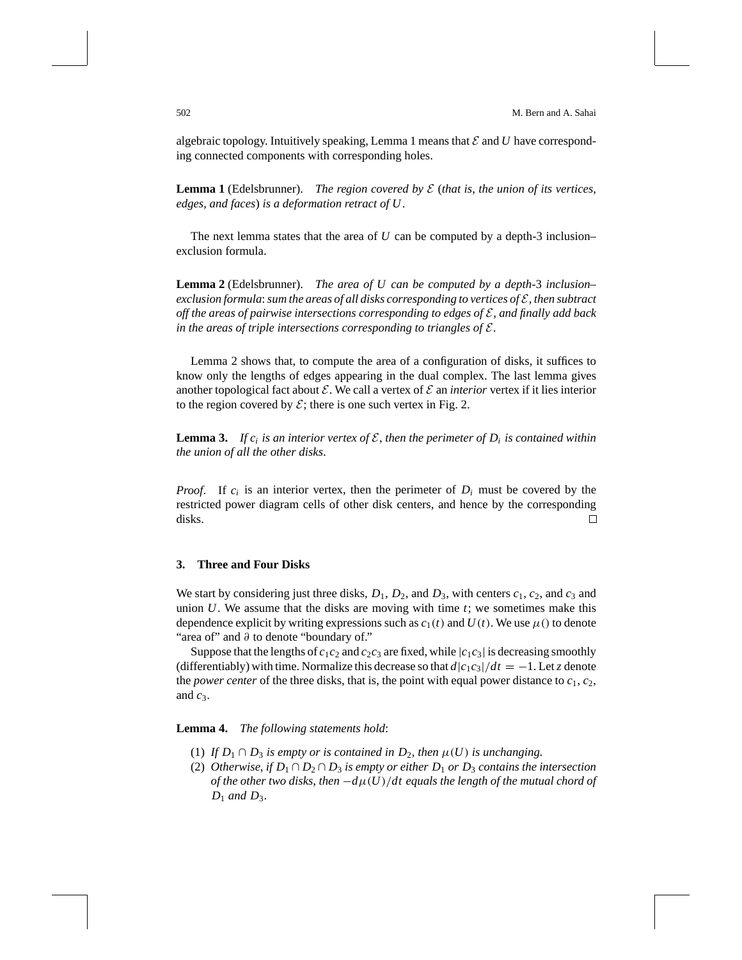algebraic topology. Intuitively speaking, Lemma 1 means that  $\mathcal E$  and  $U$  have corresponding connected components with corresponding holes.

**Lemma 1** (Edelsbrunner). *The region covered by* E (*that is*, *the union of its vertices*, *edges*, *and faces*) *is a deformation retract of U*.

The next lemma states that the area of  $U$  can be computed by a depth-3 inclusion– exclusion formula.

**Lemma 2** (Edelsbrunner). *The area of U can be computed by a depth-*3 *inclusion– exclusion formula*:*sum the areas of all disks corresponding to vertices of* E, *then subtract off the areas of pairwise intersections corresponding to edges of* E, *and finally add back in the areas of triple intersections corresponding to triangles of* E.

Lemma 2 shows that, to compute the area of a configuration of disks, it suffices to know only the lengths of edges appearing in the dual complex. The last lemma gives another topological fact about  $\mathcal E$ . We call a vertex of  $\mathcal E$  an *interior* vertex if it lies interior to the region covered by  $\mathcal{E}$ ; there is one such vertex in Fig. 2.

**Lemma 3.** If  $c_i$  is an interior vertex of  $\mathcal{E}$ , then the perimeter of  $D_i$  is contained within *the union of all the other disks*.

*Proof.* If  $c_i$  is an interior vertex, then the perimeter of  $D_i$  must be covered by the restricted power diagram cells of other disk centers, and hence by the corresponding disks. □

## **3. Three and Four Disks**

We start by considering just three disks,  $D_1$ ,  $D_2$ , and  $D_3$ , with centers  $c_1$ ,  $c_2$ , and  $c_3$  and union  $U$ . We assume that the disks are moving with time  $t$ ; we sometimes make this dependence explicit by writing expressions such as  $c_1(t)$  and  $U(t)$ . We use  $\mu$ () to denote "area of" and ∂ to denote "boundary of."

Suppose that the lengths of  $c_1c_2$  and  $c_2c_3$  are fixed, while  $|c_1c_3|$  is decreasing smoothly (differentiably) with time. Normalize this decrease so that  $d|c_1c_3|/dt = -1$ . Let *z* denote the *power center* of the three disks, that is, the point with equal power distance to  $c_1$ ,  $c_2$ , and  $c_3$ .

**Lemma 4.** *The following statements hold*:

- (1) *If*  $D_1 \cap D_3$  *is empty or is contained in*  $D_2$ *, then*  $\mu(U)$  *is unchanging.*
- (2) *Otherwise*, *if*  $D_1 \cap D_2 \cap D_3$  *is empty or either*  $D_1$  *or*  $D_3$  *contains the intersection of the other two disks, then*  $-d\mu(U)/dt$  equals the length of the mutual chord of  $D_1$  *and*  $D_3$ *.*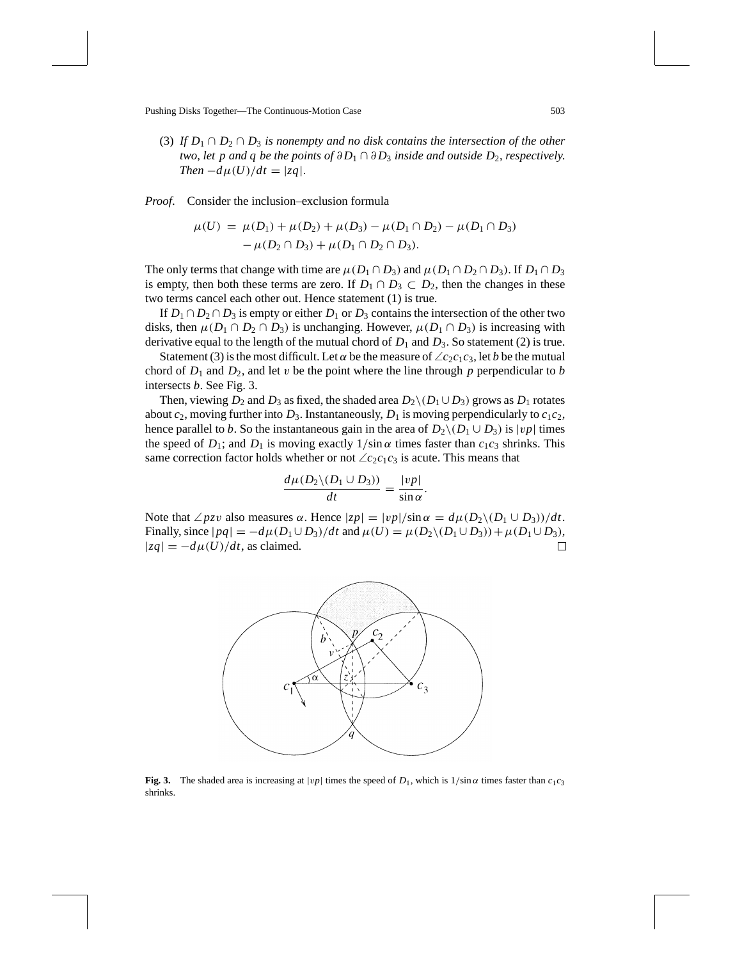(3) *If*  $D_1 \cap D_2 \cap D_3$  *is nonempty and no disk contains the intersection of the other two, let p and q be the points of*  $\partial D_1 \cap \partial D_3$  *inside and outside*  $D_2$ *, respectively. Then*  $-d\mu(U)/dt = |zq|$ .

*Proof*. Consider the inclusion–exclusion formula

$$
\mu(U) = \mu(D_1) + \mu(D_2) + \mu(D_3) - \mu(D_1 \cap D_2) - \mu(D_1 \cap D_3) - \mu(D_2 \cap D_3) + \mu(D_1 \cap D_2 \cap D_3).
$$

The only terms that change with time are  $\mu(D_1 \cap D_3)$  and  $\mu(D_1 \cap D_2 \cap D_3)$ . If  $D_1 \cap D_3$ is empty, then both these terms are zero. If  $D_1 \cap D_3 \subset D_2$ , then the changes in these two terms cancel each other out. Hence statement (1) is true.

If  $D_1 \cap D_2 \cap D_3$  is empty or either  $D_1$  or  $D_3$  contains the intersection of the other two disks, then  $\mu(D_1 \cap D_2 \cap D_3)$  is unchanging. However,  $\mu(D_1 \cap D_3)$  is increasing with derivative equal to the length of the mutual chord of  $D_1$  and  $D_3$ . So statement (2) is true.

Statement (3) is the most difficult. Let  $\alpha$  be the measure of  $\angle c_2c_1c_3$ , let *b* be the mutual chord of  $D_1$  and  $D_2$ , and let v be the point where the line through p perpendicular to b intersects *b*. See Fig. 3.

Then, viewing  $D_2$  and  $D_3$  as fixed, the shaded area  $D_2 \setminus (D_1 \cup D_3)$  grows as  $D_1$  rotates about  $c_2$ , moving further into  $D_3$ . Instantaneously,  $D_1$  is moving perpendicularly to  $c_1c_2$ , hence parallel to *b*. So the instantaneous gain in the area of  $D_2 \setminus (D_1 \cup D_3)$  is |vp| times the speed of  $D_1$ ; and  $D_1$  is moving exactly  $1/\sin \alpha$  times faster than  $c_1c_3$  shrinks. This same correction factor holds whether or not  $\angle c_2c_1c_3$  is acute. This means that

$$
\frac{d\mu(D_2\backslash(D_1\cup D_3))}{dt}=\frac{|vp|}{\sin\alpha}.
$$

Note that  $\angle pzy$  also measures  $\alpha$ . Hence  $|zp| = |vp|/\sin \alpha = d\mu(D_2 \setminus (D_1 \cup D_3))/dt$ . Finally, since  $|pq| = -d\mu(D_1 \cup D_3)/dt$  and  $\mu(U) = \mu(D_2 \setminus (D_1 \cup D_3)) + \mu(D_1 \cup D_3)$ ,  $|zq| = -d\mu(U)/dt$ , as claimed.  $\Box$ 



**Fig. 3.** The shaded area is increasing at  $|vp|$  times the speed of  $D_1$ , which is  $1/\sin \alpha$  times faster than  $c_1c_3$ shrinks.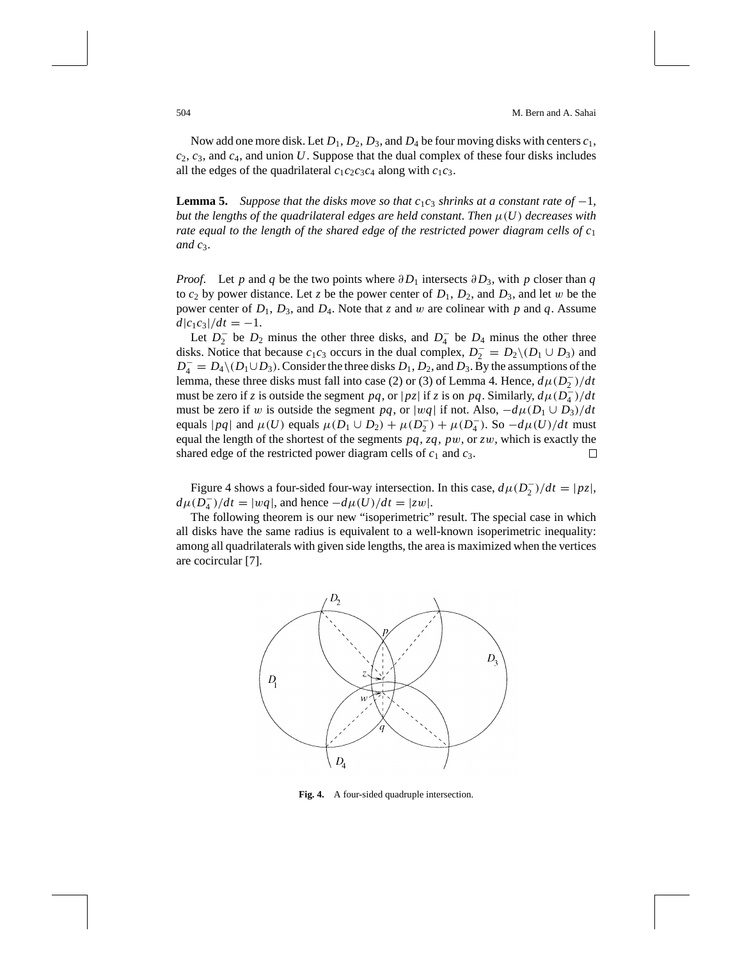Now add one more disk. Let  $D_1$ ,  $D_2$ ,  $D_3$ , and  $D_4$  be four moving disks with centers  $c_1$ , *c*2, *c*3, and *c*4, and union *U*. Suppose that the dual complex of these four disks includes all the edges of the quadrilateral  $c_1c_2c_3c_4$  along with  $c_1c_3$ .

**Lemma 5.** Suppose that the disks move so that  $c_1c_3$  shrinks at a constant rate of  $-1$ , *but the lengths of the quadrilateral edges are held constant. Then*  $\mu(U)$  *decreases with rate equal to the length of the shared edge of the restricted power diagram cells of c*<sup>1</sup> *and c*3.

*Proof.* Let *p* and *q* be the two points where  $\partial D_1$  intersects  $\partial D_3$ , with *p* closer than *q* to  $c_2$  by power distance. Let *z* be the power center of  $D_1$ ,  $D_2$ , and  $D_3$ , and let w be the power center of  $D_1$ ,  $D_3$ , and  $D_4$ . Note that *z* and *w* are colinear with *p* and *q*. Assume  $d|c_1c_3|/dt = -1.$ 

Let  $D_2^-$  be  $D_2$  minus the other three disks, and  $D_4^-$  be  $D_4$  minus the other three disks. Notice that because  $c_1c_3$  occurs in the dual complex,  $D_2^- = D_2 \setminus (D_1 \cup D_3)$  and  $D_4^- = D_4 \setminus (D_1 \cup D_3)$ . Consider the three disks  $D_1$ ,  $D_2$ , and  $D_3$ . By the assumptions of the lemma, these three disks must fall into case (2) or (3) of Lemma 4. Hence,  $d\mu(D_2^-)/dt$ must be zero if *z* is outside the segment *pq*, or  $|pz|$  if *z* is on *pq*. Similarly,  $d\mu(\overline{D_4})/dt$ must be zero if w is outside the segment *pq*, or |wq| if not. Also,  $-d\mu(D_1 \cup D_3)/dt$ equals  $|pq|$  and  $\mu(U)$  equals  $\mu(D_1 \cup D_2) + \mu(D_2^-) + \mu(D_4^-)$ . So  $-d\mu(U)/dt$  must equal the length of the shortest of the segments *pq*, *zq*, *p*w, or *z*w, which is exactly the shared edge of the restricted power diagram cells of  $c_1$  and  $c_3$ . П

Figure 4 shows a four-sided four-way intersection. In this case,  $d\mu(D_2^-)/dt = |pz|$ ,  $d\mu(\overline{D}_4^-)/dt = |wq|$ , and hence  $-d\mu(\overline{U})/dt = |zw|$ .

The following theorem is our new "isoperimetric" result. The special case in which all disks have the same radius is equivalent to a well-known isoperimetric inequality: among all quadrilaterals with given side lengths, the area is maximized when the vertices are cocircular [7].



**Fig. 4.** A four-sided quadruple intersection.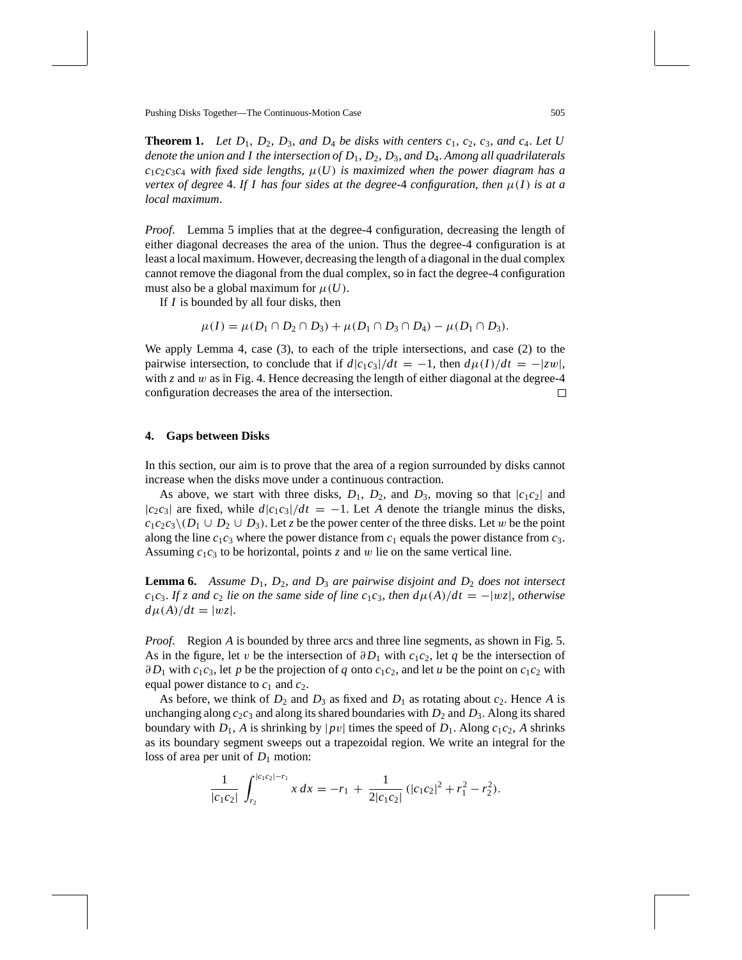**Theorem 1.** Let  $D_1$ ,  $D_2$ ,  $D_3$ , and  $D_4$  be disks with centers  $c_1$ ,  $c_2$ ,  $c_3$ , and  $c_4$ . Let U *denote the union and I the intersection of D*1, *D*2, *D*3, *and D*4. *Among all quadrilaterals*  $c_1c_2c_3c_4$  *with fixed side lengths,*  $\mu(U)$  *is maximized when the power diagram has a vertex of degree* 4. If I has four sides at the degree-4 configuration, then  $\mu(I)$  is at a *local maximum*.

*Proof.* Lemma 5 implies that at the degree-4 configuration, decreasing the length of either diagonal decreases the area of the union. Thus the degree-4 configuration is at least a local maximum. However, decreasing the length of a diagonal in the dual complex cannot remove the diagonal from the dual complex, so in fact the degree-4 configuration must also be a global maximum for  $\mu(U)$ .

If *I* is bounded by all four disks, then

$$
\mu(I) = \mu(D_1 \cap D_2 \cap D_3) + \mu(D_1 \cap D_3 \cap D_4) - \mu(D_1 \cap D_3).
$$

We apply Lemma 4, case (3), to each of the triple intersections, and case (2) to the pairwise intersection, to conclude that if  $d|c_1c_3|/dt = -1$ , then  $d\mu(I)/dt = -|zw|$ , with *z* and *w* as in Fig. 4. Hence decreasing the length of either diagonal at the degree-4 configuration decreases the area of the intersection. □

#### **4. Gaps between Disks**

In this section, our aim is to prove that the area of a region surrounded by disks cannot increase when the disks move under a continuous contraction.

As above, we start with three disks,  $D_1$ ,  $D_2$ , and  $D_3$ , moving so that  $|c_1c_2|$  and  $|c_2c_3|$  are fixed, while  $d|c_1c_3|/dt = -1$ . Let *A* denote the triangle minus the disks,  $c_1c_2c_3\$ ( $D_1 \cup D_2 \cup D_3$ ). Let *z* be the power center of the three disks. Let w be the point along the line  $c_1c_3$  where the power distance from  $c_1$  equals the power distance from  $c_3$ . Assuming *c*1*c*<sup>3</sup> to be horizontal, points *z* and w lie on the same vertical line.

**Lemma 6.** Assume  $D_1$ ,  $D_2$ , and  $D_3$  are pairwise disjoint and  $D_2$  does not intersect *c*<sub>1</sub>*c*<sub>3</sub>. *If z* and *c*<sub>2</sub> *lie on the same side of line c*<sub>1</sub>*c*<sub>3</sub>, *then*  $d\mu(A)/dt = -|wz|$ , *otherwise*  $d\mu(A)/dt = |wz|.$ 

*Proof.* Region *A* is bounded by three arcs and three line segments, as shown in Fig. 5. As in the figure, let v be the intersection of  $\partial D_1$  with  $c_1c_2$ , let q be the intersection of  $\partial D_1$  with  $c_1c_3$ , let *p* be the projection of *q* onto  $c_1c_2$ , and let *u* be the point on  $c_1c_2$  with equal power distance to  $c_1$  and  $c_2$ .

As before, we think of  $D_2$  and  $D_3$  as fixed and  $D_1$  as rotating about  $c_2$ . Hence A is unchanging along  $c_2c_3$  and along its shared boundaries with  $D_2$  and  $D_3$ . Along its shared boundary with  $D_1$ , A is shrinking by  $|pv|$  times the speed of  $D_1$ . Along  $c_1c_2$ , A shrinks as its boundary segment sweeps out a trapezoidal region. We write an integral for the loss of area per unit of  $D_1$  motion:

$$
\frac{1}{|c_1c_2|} \int_{r_2}^{|c_1c_2|-r_1} x \, dx = -r_1 + \frac{1}{2|c_1c_2|} \left( |c_1c_2|^2 + r_1^2 - r_2^2 \right).
$$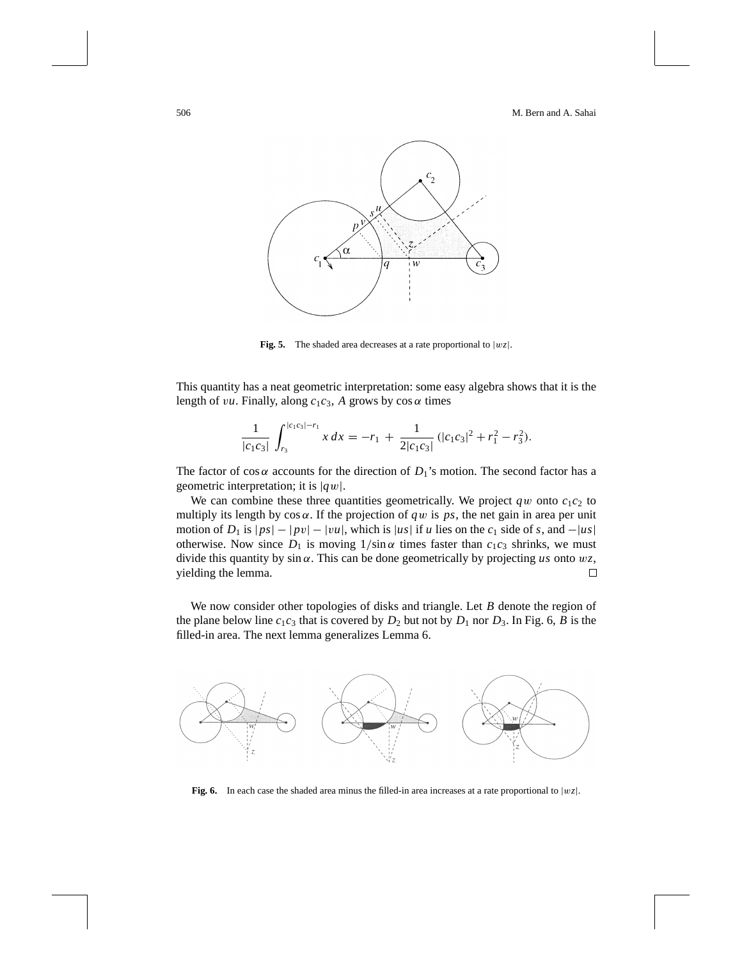

**Fig. 5.** The shaded area decreases at a rate proportional to  $|wz|$ .

This quantity has a neat geometric interpretation: some easy algebra shows that it is the length of *vu*. Finally, along  $c_1c_3$ , *A* grows by  $\cos \alpha$  times

$$
\frac{1}{|c_1c_3|}\int_{r_3}^{|c_1c_3|-r_1} x\,dx = -r_1 + \frac{1}{2|c_1c_3|}\left(|c_1c_3|^2 + r_1^2 - r_3^2\right).
$$

The factor of cos  $\alpha$  accounts for the direction of  $D_1$ 's motion. The second factor has a geometric interpretation; it is |*q*w|.

We can combine these three quantities geometrically. We project  $qw$  onto  $c_1c_2$  to multiply its length by  $\cos \alpha$ . If the projection of *qw* is *ps*, the net gain in area per unit motion of *D*<sub>1</sub> is  $|ps| - |pv| - |vu|$ , which is |*us*| if *u* lies on the  $c_1$  side of *s*, and  $-|us|$ otherwise. Now since  $D_1$  is moving  $1/\sin \alpha$  times faster than  $c_1c_3$  shrinks, we must divide this quantity by sin α. This can be done geometrically by projecting *us* onto w*z*, yielding the lemma. □

We now consider other topologies of disks and triangle. Let *B* denote the region of the plane below line  $c_1c_3$  that is covered by  $D_2$  but not by  $D_1$  nor  $D_3$ . In Fig. 6, *B* is the filled-in area. The next lemma generalizes Lemma 6.



**Fig. 6.** In each case the shaded area minus the filled-in area increases at a rate proportional to  $|wz|$ .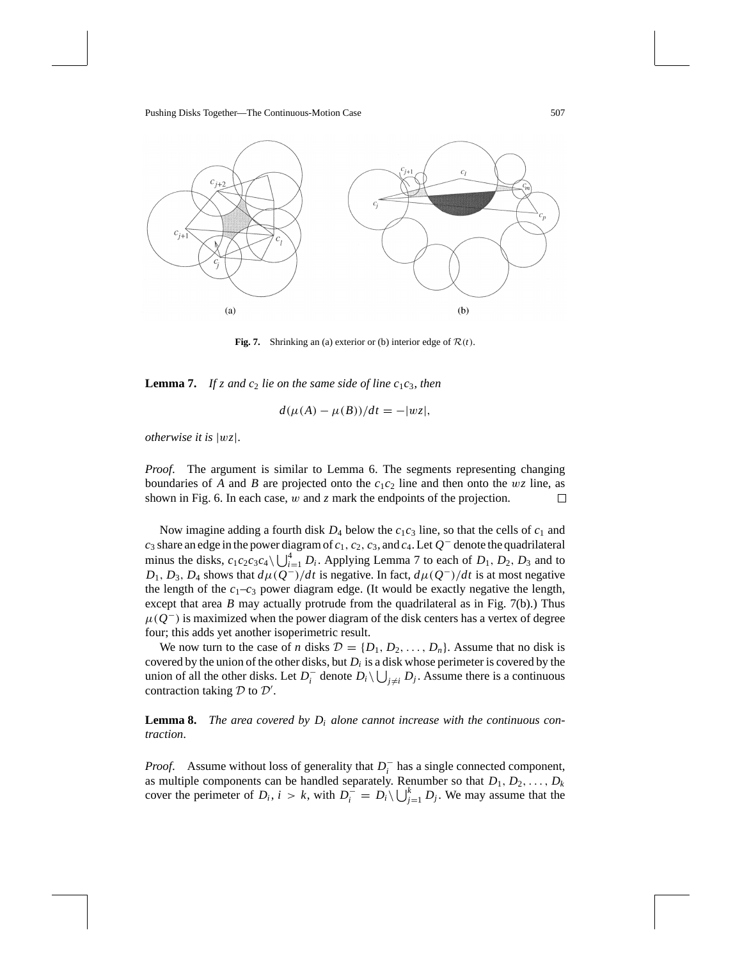

**Fig. 7.** Shrinking an (a) exterior or (b) interior edge of  $\mathcal{R}(t)$ .

**Lemma 7.** If z and  $c_2$  lie on the same side of line  $c_1c_3$ , then

$$
d(\mu(A) - \mu(B))/dt = -|wz|,
$$

*otherwise it is* |w*z*|.

*Proof*. The argument is similar to Lemma 6. The segments representing changing boundaries of *A* and *B* are projected onto the  $c_1c_2$  line and then onto the wz line, as shown in Fig. 6. In each case, w and *z* mark the endpoints of the projection. 口

Now imagine adding a fourth disk  $D_4$  below the  $c_1c_3$  line, so that the cells of  $c_1$  and *c*<sup>3</sup> share an edge in the power diagram of *c*1, *c*2, *c*3, and *c*4. Let *Q*<sup>−</sup> denote the quadrilateral minus the disks,  $c_1c_2c_3c_4\backslash \bigcup_{i=1}^4 D_i$ . Applying Lemma 7 to each of  $D_1, D_2, D_3$  and to *D*<sub>1</sub>, *D*<sub>3</sub>, *D*<sub>4</sub> shows that  $d\mu(Q^-)/dt$  is negative. In fact,  $d\mu(Q^-)/dt$  is at most negative the length of the  $c_1-c_3$  power diagram edge. (It would be exactly negative the length, except that area *B* may actually protrude from the quadrilateral as in Fig. 7(b).) Thus  $\mu(Q^-)$  is maximized when the power diagram of the disk centers has a vertex of degree four; this adds yet another isoperimetric result.

We now turn to the case of *n* disks  $D = \{D_1, D_2, \ldots, D_n\}$ . Assume that no disk is covered by the union of the other disks, but *Di* is a disk whose perimeter is covered by the union of all the other disks. Let  $D_i^-$  denote  $D_i \setminus \bigcup_{j \neq i} D_j$ . Assume there is a continuous contraction taking  $D$  to  $D'$ .

**Lemma 8.** The area covered by  $D_i$  alone cannot increase with the continuous con*traction*.

*Proof.* Assume without loss of generality that  $D_i^-$  has a single connected component, as multiple components can be handled separately. Renumber so that  $D_1, D_2, \ldots, D_k$ cover the perimeter of  $D_i$ ,  $i > k$ , with  $D_i^- = D_i \setminus \bigcup_{j=1}^k D_j$ . We may assume that the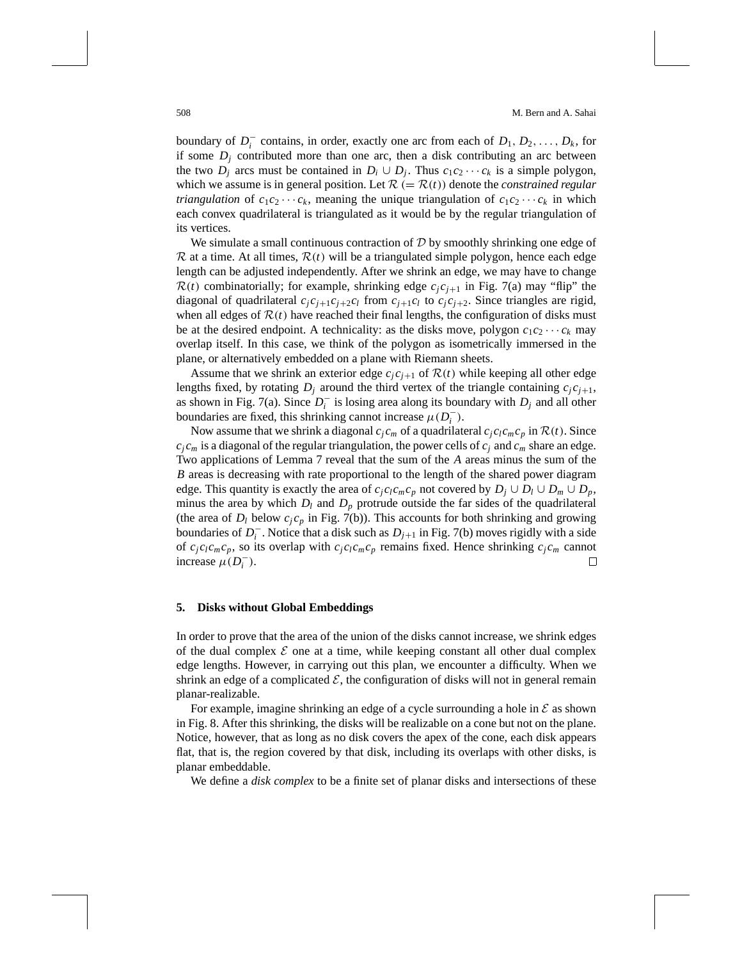boundary of  $D_i^-$  contains, in order, exactly one arc from each of  $D_1, D_2, \ldots, D_k$ , for if some  $D_j$  contributed more than one arc, then a disk contributing an arc between the two  $D_j$  arcs must be contained in  $D_i \cup D_j$ . Thus  $c_1c_2 \cdots c_k$  is a simple polygon, which we assume is in general position. Let  $\mathcal{R} (= \mathcal{R}(t))$  denote the *constrained regular triangulation* of  $c_1c_2 \cdots c_k$ , meaning the unique triangulation of  $c_1c_2 \cdots c_k$  in which each convex quadrilateral is triangulated as it would be by the regular triangulation of its vertices.

We simulate a small continuous contraction of  $D$  by smoothly shrinking one edge of  $\mathcal R$  at a time. At all times,  $\mathcal R(t)$  will be a triangulated simple polygon, hence each edge length can be adjusted independently. After we shrink an edge, we may have to change  $R(t)$  combinatorially; for example, shrinking edge  $c_j c_{j+1}$  in Fig. 7(a) may "flip" the diagonal of quadrilateral  $c_j c_{j+1} c_{j+2} c_l$  from  $c_{j+1} c_l$  to  $c_j c_{j+2}$ . Since triangles are rigid, when all edges of  $\mathcal{R}(t)$  have reached their final lengths, the configuration of disks must be at the desired endpoint. A technicality: as the disks move, polygon  $c_1c_2 \cdots c_k$  may overlap itself. In this case, we think of the polygon as isometrically immersed in the plane, or alternatively embedded on a plane with Riemann sheets.

Assume that we shrink an exterior edge  $c_j c_{j+1}$  of  $\mathcal{R}(t)$  while keeping all other edge lengths fixed, by rotating  $D_i$  around the third vertex of the triangle containing  $c_i c_{i+1}$ , as shown in Fig. 7(a). Since  $D_i^-$  is losing area along its boundary with  $D_j$  and all other boundaries are fixed, this shrinking cannot increase  $\mu(D_i^-)$ .

Now assume that we shrink a diagonal  $c_i c_m$  of a quadrilateral  $c_i c_l c_m c_p$  in  $\mathcal{R}(t)$ . Since  $c_j c_m$  is a diagonal of the regular triangulation, the power cells of  $c_j$  and  $c_m$  share an edge. Two applications of Lemma 7 reveal that the sum of the *A* areas minus the sum of the *B* areas is decreasing with rate proportional to the length of the shared power diagram edge. This quantity is exactly the area of  $c_j c_l c_m c_p$  not covered by  $D_j \cup D_l \cup D_m \cup D_p$ , minus the area by which  $D_l$  and  $D_p$  protrude outside the far sides of the quadrilateral (the area of  $D_l$  below  $c_j c_p$  in Fig. 7(b)). This accounts for both shrinking and growing boundaries of  $D_i^-$ . Notice that a disk such as  $D_{j+1}$  in Fig. 7(b) moves rigidly with a side of  $c_j c_l c_m c_p$ , so its overlap with  $c_j c_l c_m c_p$  remains fixed. Hence shrinking  $c_j c_m$  cannot increase  $\mu(D_i^-)$ . П

#### **5. Disks without Global Embeddings**

In order to prove that the area of the union of the disks cannot increase, we shrink edges of the dual complex  $\mathcal E$  one at a time, while keeping constant all other dual complex edge lengths. However, in carrying out this plan, we encounter a difficulty. When we shrink an edge of a complicated  $\mathcal{E}$ , the configuration of disks will not in general remain planar-realizable.

For example, imagine shrinking an edge of a cycle surrounding a hole in  $\mathcal E$  as shown in Fig. 8. After this shrinking, the disks will be realizable on a cone but not on the plane. Notice, however, that as long as no disk covers the apex of the cone, each disk appears flat, that is, the region covered by that disk, including its overlaps with other disks, is planar embeddable.

We define a *disk complex* to be a finite set of planar disks and intersections of these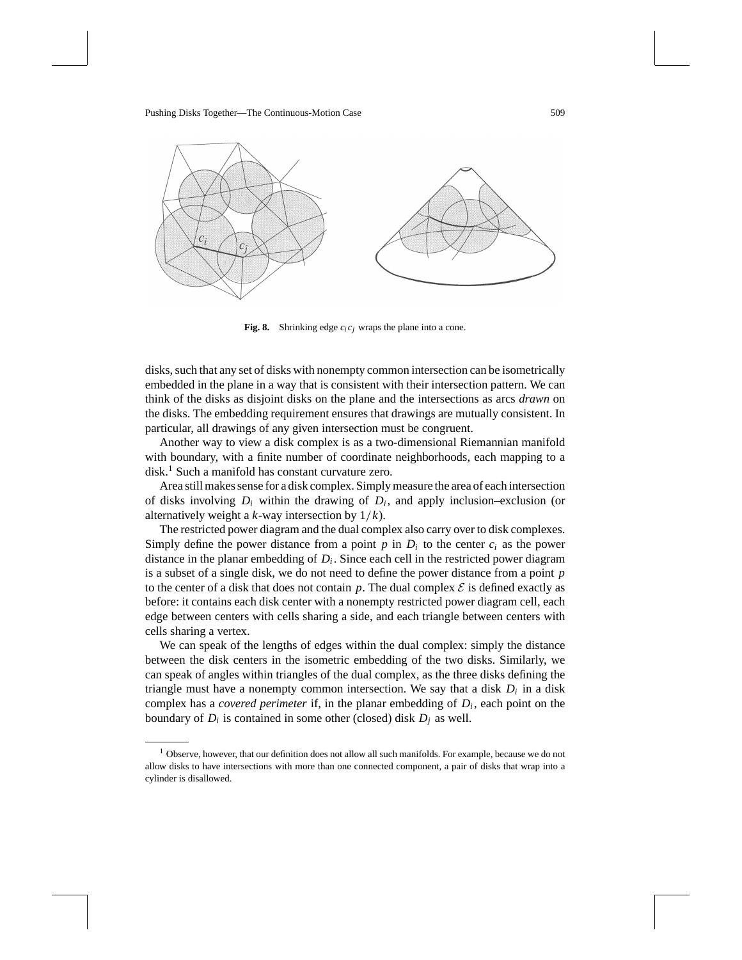

**Fig. 8.** Shrinking edge  $c_i c_j$  wraps the plane into a cone.

disks, such that any set of disks with nonempty common intersection can be isometrically embedded in the plane in a way that is consistent with their intersection pattern. We can think of the disks as disjoint disks on the plane and the intersections as arcs *drawn* on the disks. The embedding requirement ensures that drawings are mutually consistent. In particular, all drawings of any given intersection must be congruent.

Another way to view a disk complex is as a two-dimensional Riemannian manifold with boundary, with a finite number of coordinate neighborhoods, each mapping to a disk.1 Such a manifold has constant curvature zero.

Area still makes sense for a disk complex. Simply measure the area of each intersection of disks involving  $D_i$  within the drawing of  $D_i$ , and apply inclusion–exclusion (or alternatively weight a *k*-way intersection by 1/*k*).

The restricted power diagram and the dual complex also carry over to disk complexes. Simply define the power distance from a point  $p$  in  $D_i$  to the center  $c_i$  as the power distance in the planar embedding of *Di* . Since each cell in the restricted power diagram is a subset of a single disk, we do not need to define the power distance from a point *p* to the center of a disk that does not contain  $p$ . The dual complex  $\mathcal E$  is defined exactly as before: it contains each disk center with a nonempty restricted power diagram cell, each edge between centers with cells sharing a side, and each triangle between centers with cells sharing a vertex.

We can speak of the lengths of edges within the dual complex: simply the distance between the disk centers in the isometric embedding of the two disks. Similarly, we can speak of angles within triangles of the dual complex, as the three disks defining the triangle must have a nonempty common intersection. We say that a disk  $D_i$  in a disk complex has a *covered perimeter* if, in the planar embedding of  $D_i$ , each point on the boundary of  $D_i$  is contained in some other (closed) disk  $D_i$  as well.

 $<sup>1</sup>$  Observe, however, that our definition does not allow all such manifolds. For example, because we do not</sup> allow disks to have intersections with more than one connected component, a pair of disks that wrap into a cylinder is disallowed.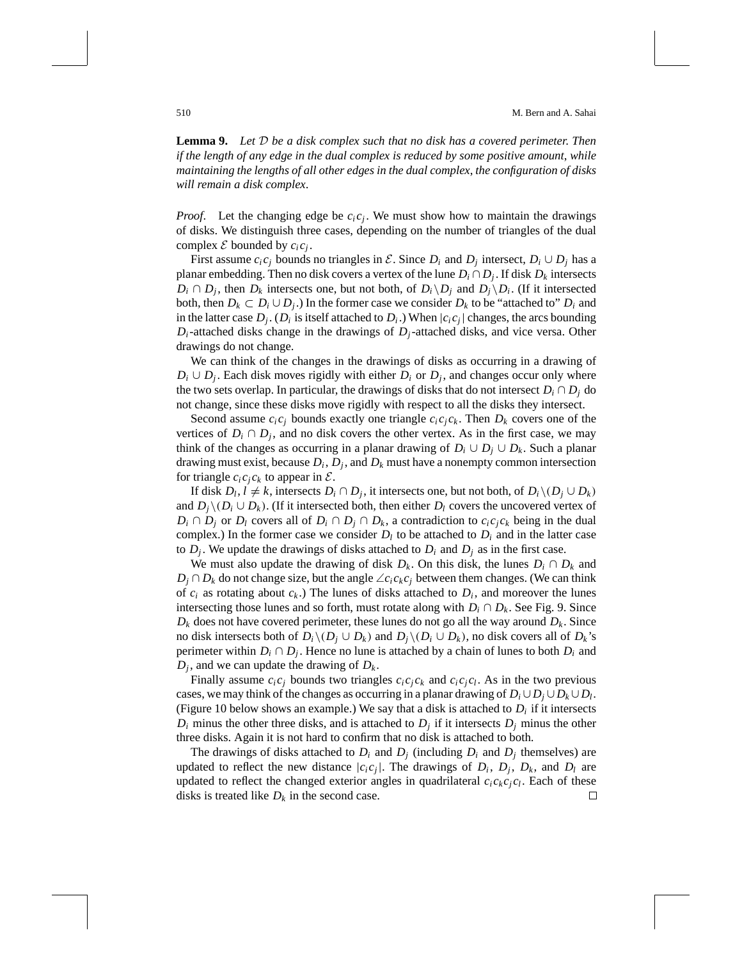**Lemma 9.** *Let* D *be a disk complex such that no disk has a covered perimeter*. *Then if the length of any edge in the dual complex is reduced by some positive amount*, *while maintaining the lengths of all other edges in the dual complex*, *the configuration of disks will remain a disk complex*.

*Proof.* Let the changing edge be  $c_i c_j$ . We must show how to maintain the drawings of disks. We distinguish three cases, depending on the number of triangles of the dual complex  $\mathcal E$  bounded by  $c_i c_j$ .

First assume  $c_i c_j$  bounds no triangles in  $\mathcal{E}$ . Since  $D_i$  and  $D_j$  intersect,  $D_i \cup D_j$  has a planar embedding. Then no disk covers a vertex of the lune  $D_i \cap D_j$ . If disk  $D_k$  intersects *D<sub>i</sub>* ∩ *D<sub>j</sub>*, then *D<sub>k</sub>* intersects one, but not both, of *D<sub>i</sub>* \*D<sub>j</sub>* and *D<sub>j</sub>* \*D<sub>i</sub>*. (If it intersected both, then  $D_k \subset D_i \cup D_j$ .) In the former case we consider  $D_k$  to be "attached to"  $D_i$  and in the latter case  $D_j$ . ( $D_i$  is itself attached to  $D_i$ .) When  $|c_i c_j|$  changes, the arcs bounding *Di*-attached disks change in the drawings of *Dj*-attached disks, and vice versa. Other drawings do not change.

We can think of the changes in the drawings of disks as occurring in a drawing of  $D_i \cup D_j$ . Each disk moves rigidly with either  $D_i$  or  $D_j$ , and changes occur only where the two sets overlap. In particular, the drawings of disks that do not intersect  $D_i \cap D_j$  do not change, since these disks move rigidly with respect to all the disks they intersect.

Second assume  $c_i c_j$  bounds exactly one triangle  $c_i c_j c_k$ . Then  $D_k$  covers one of the vertices of  $D_i \cap D_j$ , and no disk covers the other vertex. As in the first case, we may think of the changes as occurring in a planar drawing of  $D_i \cup D_j \cup D_k$ . Such a planar drawing must exist, because  $D_i$ ,  $D_i$ , and  $D_k$  must have a nonempty common intersection for triangle  $c_i c_j c_k$  to appear in  $\mathcal{E}$ .

If disk *D<sub>l</sub>*, *l* ≠ *k*, intersects *D<sub>i</sub>* ∩ *D<sub>i</sub>*, it intersects one, but not both, of *D<sub>i</sub>* ∖(*D<sub>i</sub>* ∪ *D<sub>k</sub>*) and  $D_i \setminus (D_i \cup D_k)$ . (If it intersected both, then either  $D_l$  covers the uncovered vertex of *D<sub>i</sub>* ∩ *D<sub>j</sub>* or *D<sub>l</sub>* covers all of *D<sub>i</sub>* ∩ *D<sub>j</sub>* ∩ *D<sub>k</sub>*, a contradiction to  $c_i c_j c_k$  being in the dual complex.) In the former case we consider  $D_l$  to be attached to  $D_i$  and in the latter case to  $D_i$ . We update the drawings of disks attached to  $D_i$  and  $D_j$  as in the first case.

We must also update the drawing of disk  $D_k$ . On this disk, the lunes  $D_i \cap D_k$  and *D<sub>j</sub>* ∩ *D<sub>k</sub>* do not change size, but the angle  $\angle c_i c_k c_j$  between them changes. (We can think of  $c_i$  as rotating about  $c_k$ .) The lunes of disks attached to  $D_i$ , and moreover the lunes intersecting those lunes and so forth, must rotate along with  $D_i \cap D_k$ . See Fig. 9. Since  $D_k$  does not have covered perimeter, these lunes do not go all the way around  $D_k$ . Since no disk intersects both of  $D_i \setminus (D_i \cup D_k)$  and  $D_i \setminus (D_i \cup D_k)$ , no disk covers all of  $D_k$ 's perimeter within  $D_i \cap D_j$ . Hence no lune is attached by a chain of lunes to both  $D_i$  and  $D_i$ , and we can update the drawing of  $D_k$ .

Finally assume  $c_i c_j$  bounds two triangles  $c_i c_j c_k$  and  $c_i c_j c_l$ . As in the two previous cases, we may think of the changes as occurring in a planar drawing of  $D_i \cup D_j \cup D_k \cup D_l$ . (Figure 10 below shows an example.) We say that a disk is attached to  $D_i$  if it intersects  $D_i$  minus the other three disks, and is attached to  $D_j$  if it intersects  $D_j$  minus the other three disks. Again it is not hard to confirm that no disk is attached to both.

The drawings of disks attached to  $D_i$  and  $D_j$  (including  $D_i$  and  $D_j$  themselves) are updated to reflect the new distance  $|c_i c_j|$ . The drawings of  $D_i$ ,  $D_j$ ,  $D_k$ , and  $D_l$  are updated to reflect the changed exterior angles in quadrilateral  $c_i c_k c_j c_l$ . Each of these disks is treated like  $D_k$  in the second case. □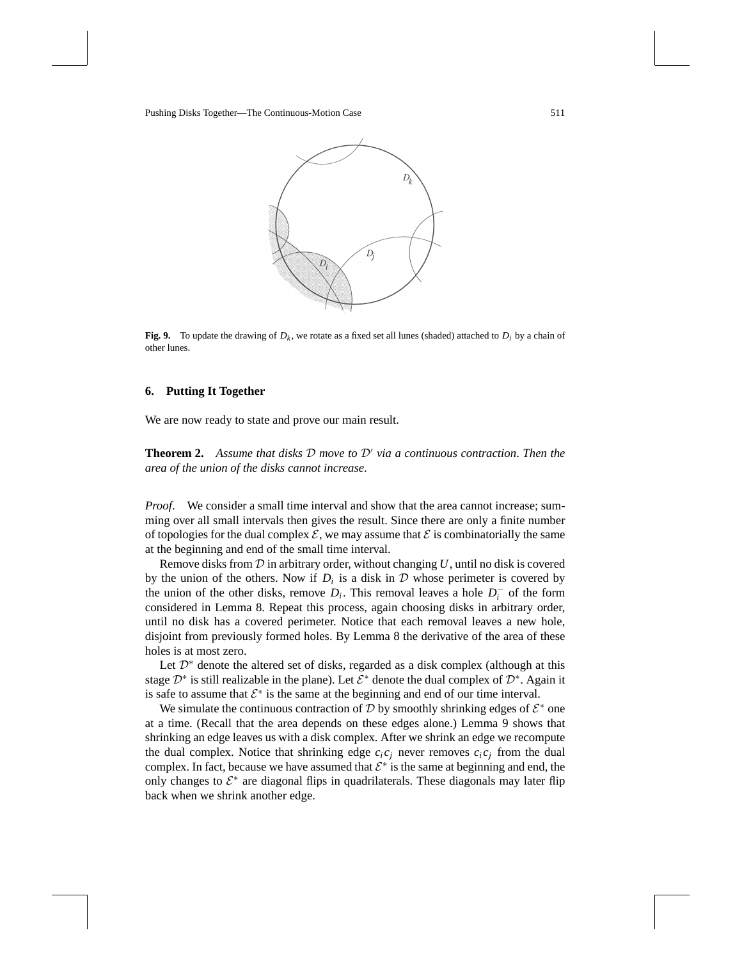

**Fig. 9.** To update the drawing of  $D_k$ , we rotate as a fixed set all lunes (shaded) attached to  $D_i$  by a chain of other lunes.

#### **6. Putting It Together**

We are now ready to state and prove our main result.

**Theorem 2.** Assume that disks  $D$  move to  $D'$  via a continuous contraction. Then the *area of the union of the disks cannot increase*.

*Proof.* We consider a small time interval and show that the area cannot increase; summing over all small intervals then gives the result. Since there are only a finite number of topologies for the dual complex  $\mathcal E$ , we may assume that  $\mathcal E$  is combinatorially the same at the beginning and end of the small time interval.

Remove disks from D in arbitrary order, without changing *U*, until no disk is covered by the union of the others. Now if  $D_i$  is a disk in  $D$  whose perimeter is covered by the union of the other disks, remove  $D_i$ . This removal leaves a hole  $D_i^-$  of the form considered in Lemma 8. Repeat this process, again choosing disks in arbitrary order, until no disk has a covered perimeter. Notice that each removal leaves a new hole, disjoint from previously formed holes. By Lemma 8 the derivative of the area of these holes is at most zero.

Let  $\mathcal{D}^*$  denote the altered set of disks, regarded as a disk complex (although at this stage  $\mathcal{D}^*$  is still realizable in the plane). Let  $\mathcal{E}^*$  denote the dual complex of  $\mathcal{D}^*$ . Again it is safe to assume that  $\mathcal{E}^*$  is the same at the beginning and end of our time interval.

We simulate the continuous contraction of D by smoothly shrinking edges of  $\mathcal{E}^*$  one at a time. (Recall that the area depends on these edges alone.) Lemma 9 shows that shrinking an edge leaves us with a disk complex. After we shrink an edge we recompute the dual complex. Notice that shrinking edge  $c_i c_j$  never removes  $c_i c_j$  from the dual complex. In fact, because we have assumed that  $\mathcal{E}^*$  is the same at beginning and end, the only changes to  $\mathcal{E}^*$  are diagonal flips in quadrilaterals. These diagonals may later flip back when we shrink another edge.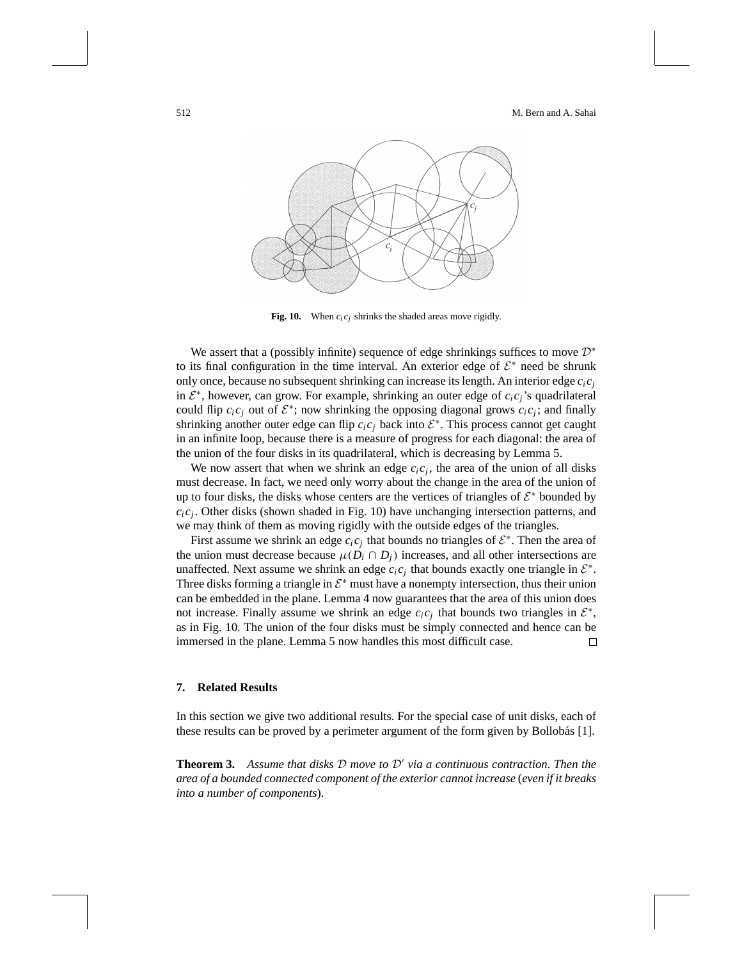

**Fig. 10.** When  $c_i c_j$  shrinks the shaded areas move rigidly.

We assert that a (possibly infinite) sequence of edge shrinkings suffices to move  $\mathcal{D}^*$ to its final configuration in the time interval. An exterior edge of  $\mathcal{E}^*$  need be shrunk only once, because no subsequent shrinking can increase its length. An interior edge  $c_i c_j$ in <sup>E</sup><sup>∗</sup>, however, can grow. For example, shrinking an outer edge of *ci cj*'s quadrilateral could flip  $c_i c_j$  out of  $\mathcal{E}^*$ ; now shrinking the opposing diagonal grows  $c_i c_j$ ; and finally shrinking another outer edge can flip  $c_i c_j$  back into  $\mathcal{E}^*$ . This process cannot get caught in an infinite loop, because there is a measure of progress for each diagonal: the area of the union of the four disks in its quadrilateral, which is decreasing by Lemma 5.

We now assert that when we shrink an edge  $c_i c_j$ , the area of the union of all disks must decrease. In fact, we need only worry about the change in the area of the union of up to four disks, the disks whose centers are the vertices of triangles of  $\mathcal{E}^*$  bounded by  $c_i c_j$ . Other disks (shown shaded in Fig. 10) have unchanging intersection patterns, and we may think of them as moving rigidly with the outside edges of the triangles.

First assume we shrink an edge  $c_i c_j$  that bounds no triangles of  $\mathcal{E}^*$ . Then the area of the union must decrease because  $\mu(D_i \cap D_j)$  increases, and all other intersections are unaffected. Next assume we shrink an edge  $c_i c_j$  that bounds exactly one triangle in  $\mathcal{E}^*$ . Three disks forming a triangle in  $\mathcal{E}^*$  must have a nonempty intersection, thus their union can be embedded in the plane. Lemma 4 now guarantees that the area of this union does not increase. Finally assume we shrink an edge  $c_i c_j$  that bounds two triangles in  $\mathcal{E}^*$ , as in Fig. 10. The union of the four disks must be simply connected and hence can be immersed in the plane. Lemma 5 now handles this most difficult case.  $\Box$ 

### **7. Related Results**

In this section we give two additional results. For the special case of unit disks, each of these results can be proved by a perimeter argument of the form given by Bollobás [1].

**Theorem 3.** Assume that disks  $D$  move to  $D'$  via a continuous contraction. Then the *area of a bounded connected component of the exterior cannot increase* (*even if it breaks into a number of components*).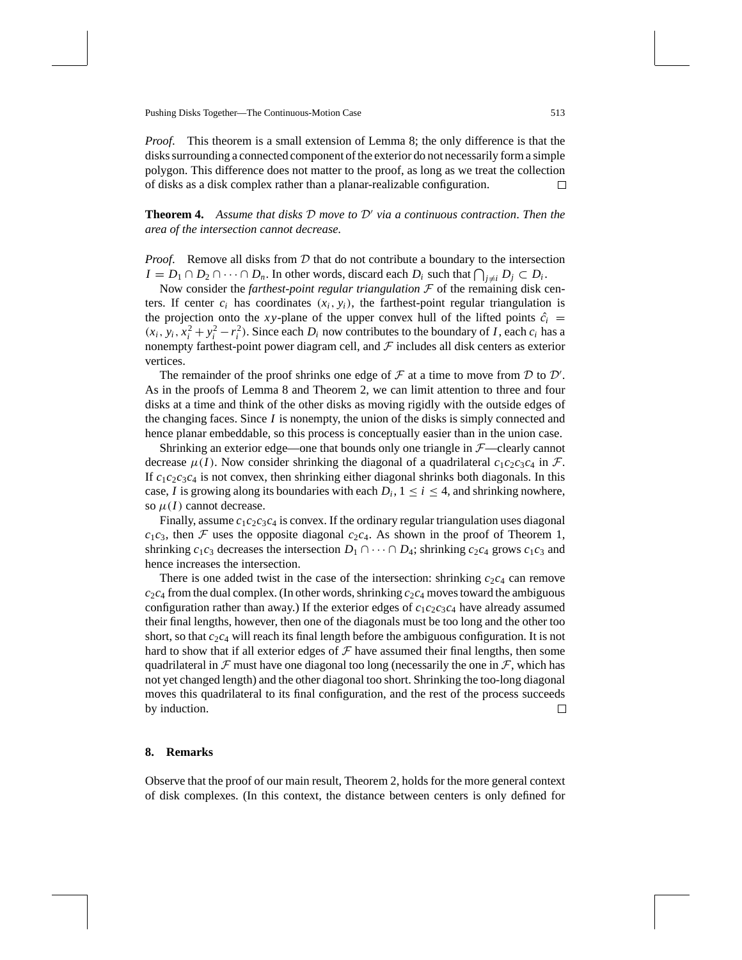*Proof*. This theorem is a small extension of Lemma 8; the only difference is that the disks surrounding a connected component of the exterior do not necessarily form a simple polygon. This difference does not matter to the proof, as long as we treat the collection of disks as a disk complex rather than a planar-realizable configuration. □

**Theorem 4.** Assume that disks  $D$  move to  $D'$  via a continuous contraction. Then the *area of the intersection cannot decrease*.

*Proof.* Remove all disks from D that do not contribute a boundary to the intersection *I* = *D*<sub>1</sub> ∩ *D*<sub>2</sub> ∩ ··· ∩ *D<sub>n</sub>*. In other words, discard each *D<sub>i</sub>* such that  $\bigcap_{j \neq i} D_j \subset D_i$ .

Now consider the *farthest-point regular triangulation*  $F$  of the remaining disk centers. If center  $c_i$  has coordinates  $(x_i, y_i)$ , the farthest-point regular triangulation is the projection onto the *xy*-plane of the upper convex hull of the lifted points  $\hat{c}_i$  =  $(x_i, y_i, x_i^2 + y_i^2 - r_i^2)$ . Since each  $D_i$  now contributes to the boundary of *I*, each  $c_i$  has a nonempty farthest-point power diagram cell, and  $\mathcal F$  includes all disk centers as exterior vertices.

The remainder of the proof shrinks one edge of  $\mathcal F$  at a time to move from  $\mathcal D$  to  $\mathcal D'$ . As in the proofs of Lemma 8 and Theorem 2, we can limit attention to three and four disks at a time and think of the other disks as moving rigidly with the outside edges of the changing faces. Since *I* is nonempty, the union of the disks is simply connected and hence planar embeddable, so this process is conceptually easier than in the union case.

Shrinking an exterior edge—one that bounds only one triangle in  $F$ —clearly cannot decrease  $\mu(I)$ . Now consider shrinking the diagonal of a quadrilateral  $c_1c_2c_3c_4$  in  $\mathcal{F}$ . If  $c_1c_2c_3c_4$  is not convex, then shrinking either diagonal shrinks both diagonals. In this case, *I* is growing along its boundaries with each  $D_i$ ,  $1 \le i \le 4$ , and shrinking nowhere, so  $\mu(I)$  cannot decrease.

Finally, assume  $c_1c_2c_3c_4$  is convex. If the ordinary regular triangulation uses diagonal  $c_1c_3$ , then F uses the opposite diagonal  $c_2c_4$ . As shown in the proof of Theorem 1, shrinking  $c_1c_3$  decreases the intersection  $D_1 \cap \cdots \cap D_4$ ; shrinking  $c_2c_4$  grows  $c_1c_3$  and hence increases the intersection.

There is one added twist in the case of the intersection: shrinking  $c_2c_4$  can remove  $c_2c_4$  from the dual complex. (In other words, shrinking  $c_2c_4$  moves toward the ambiguous configuration rather than away.) If the exterior edges of  $c_1c_2c_3c_4$  have already assumed their final lengths, however, then one of the diagonals must be too long and the other too short, so that  $c_2c_4$  will reach its final length before the ambiguous configuration. It is not hard to show that if all exterior edges of  $\mathcal F$  have assumed their final lengths, then some quadrilateral in  $\mathcal F$  must have one diagonal too long (necessarily the one in  $\mathcal F$ , which has not yet changed length) and the other diagonal too short. Shrinking the too-long diagonal moves this quadrilateral to its final configuration, and the rest of the process succeeds by induction.  $\Box$ 

## **8. Remarks**

Observe that the proof of our main result, Theorem 2, holds for the more general context of disk complexes. (In this context, the distance between centers is only defined for